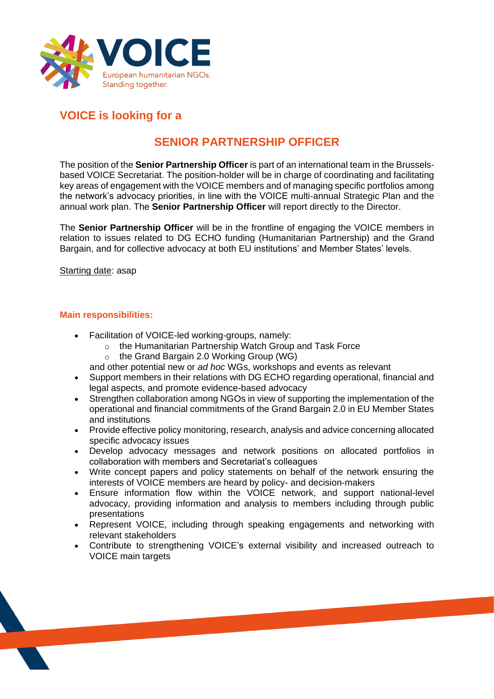

## **VOICE is looking for a**

# **SENIOR PARTNERSHIP OFFICER**

The position of the **Senior Partnership Officer** is part of an international team in the Brusselsbased VOICE Secretariat. The position-holder will be in charge of coordinating and facilitating key areas of engagement with the VOICE members and of managing specific portfolios among the network's advocacy priorities, in line with the VOICE multi-annual Strategic Plan and the annual work plan. The **Senior Partnership Officer** will report directly to the Director.

The **Senior Partnership Officer** will be in the frontline of engaging the VOICE members in relation to issues related to DG ECHO funding (Humanitarian Partnership) and the Grand Bargain, and for collective advocacy at both EU institutions' and Member States' levels.

Starting date: asap

## **Main responsibilities:**

- Facilitation of VOICE-led working-groups, namely:
	- o the Humanitarian Partnership Watch Group and Task Force
	- o the Grand Bargain 2.0 Working Group (WG)
	- and other potential new or *ad hoc* WGs, workshops and events as relevant
- Support members in their relations with DG ECHO regarding operational, financial and legal aspects, and promote evidence-based advocacy
- Strengthen collaboration among NGOs in view of supporting the implementation of the operational and financial commitments of the Grand Bargain 2.0 in EU Member States and institutions
- Provide effective policy monitoring, research, analysis and advice concerning allocated specific advocacy issues
- Develop advocacy messages and network positions on allocated portfolios in collaboration with members and Secretariat's colleagues
- Write concept papers and policy statements on behalf of the network ensuring the interests of VOICE members are heard by policy- and decision-makers
- Ensure information flow within the VOICE network, and support national-level advocacy, providing information and analysis to members including through public presentations
- Represent VOICE, including through speaking engagements and networking with relevant stakeholders
- Contribute to strengthening VOICE's external visibility and increased outreach to VOICE main targets